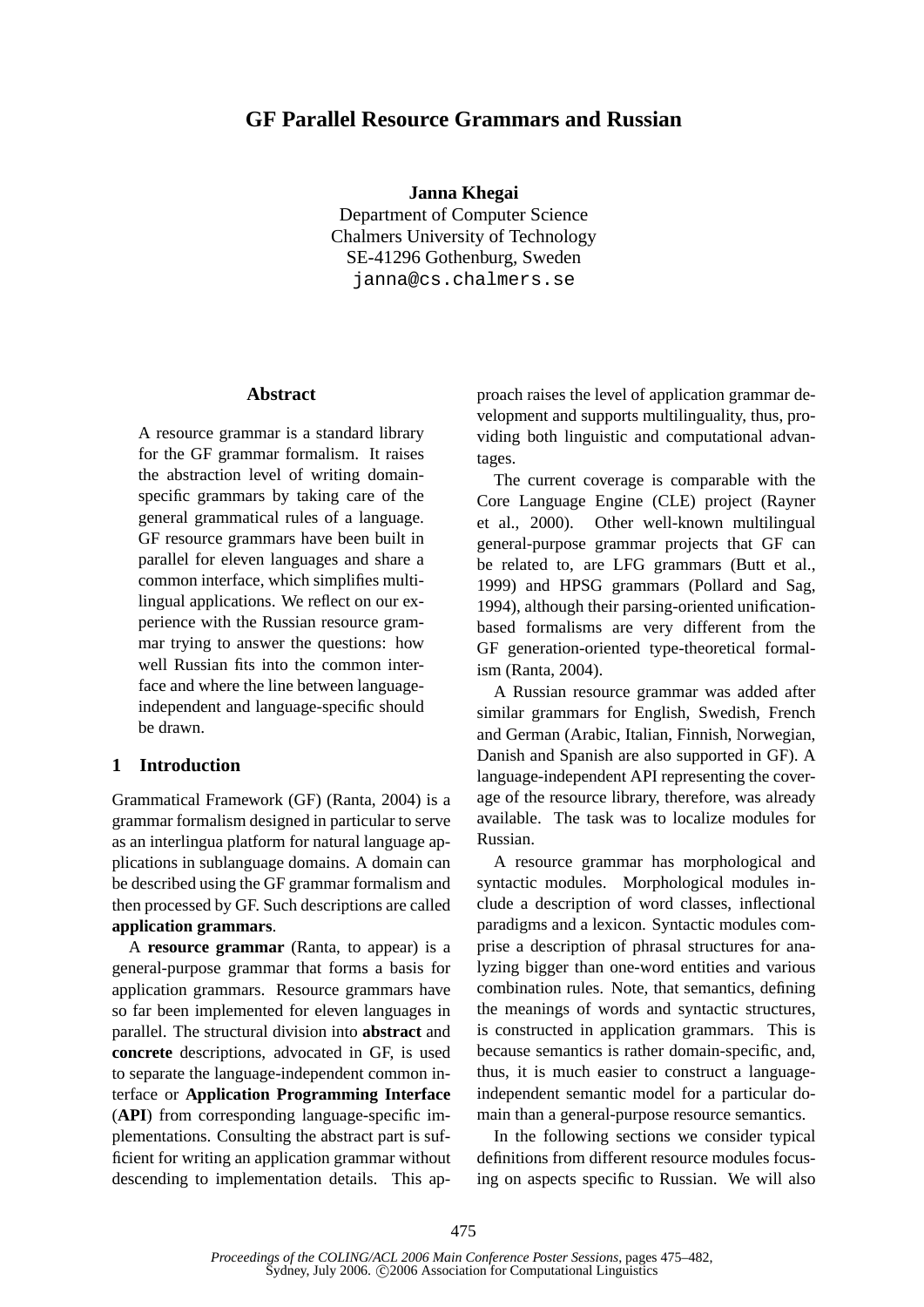# **GF Parallel Resource Grammars and Russian**

#### **Janna Khegai**

Department of Computer Science Chalmers University of Technology SE-41296 Gothenburg, Sweden janna@cs.chalmers.se

#### **Abstract**

A resource grammar is a standard library for the GF grammar formalism. It raises the abstraction level of writing domainspecific grammars by taking care of the general grammatical rules of a language. GF resource grammars have been built in parallel for eleven languages and share a common interface, which simplifies multilingual applications. We reflect on our experience with the Russian resource grammar trying to answer the questions: how well Russian fits into the common interface and where the line between languageindependent and language-specific should be drawn.

### **1 Introduction**

Grammatical Framework (GF) (Ranta, 2004) is a grammar formalism designed in particular to serve as an interlingua platform for natural language applications in sublanguage domains. A domain can be described using the GF grammar formalism and then processed by GF. Such descriptions are called **application grammars**.

A **resource grammar** (Ranta, to appear) is a general-purpose grammar that forms a basis for application grammars. Resource grammars have so far been implemented for eleven languages in parallel. The structural division into **abstract** and **concrete** descriptions, advocated in GF, is used to separate the language-independent common interface or **Application Programming Interface** (**API**) from corresponding language-specific implementations. Consulting the abstract part is sufficient for writing an application grammar without descending to implementation details. This approach raises the level of application grammar development and supports multilinguality, thus, providing both linguistic and computational advantages.

The current coverage is comparable with the Core Language Engine (CLE) project (Rayner et al., 2000). Other well-known multilingual general-purpose grammar projects that GF can be related to, are LFG grammars (Butt et al., 1999) and HPSG grammars (Pollard and Sag, 1994), although their parsing-oriented unificationbased formalisms are very different from the GF generation-oriented type-theoretical formalism (Ranta, 2004).

A Russian resource grammar was added after similar grammars for English, Swedish, French and German (Arabic, Italian, Finnish, Norwegian, Danish and Spanish are also supported in GF). A language-independent API representing the coverage of the resource library, therefore, was already available. The task was to localize modules for Russian.

A resource grammar has morphological and syntactic modules. Morphological modules include a description of word classes, inflectional paradigms and a lexicon. Syntactic modules comprise a description of phrasal structures for analyzing bigger than one-word entities and various combination rules. Note, that semantics, defining the meanings of words and syntactic structures, is constructed in application grammars. This is because semantics is rather domain-specific, and, thus, it is much easier to construct a languageindependent semantic model for a particular domain than a general-purpose resource semantics.

In the following sections we consider typical definitions from different resource modules focusing on aspects specific to Russian. We will also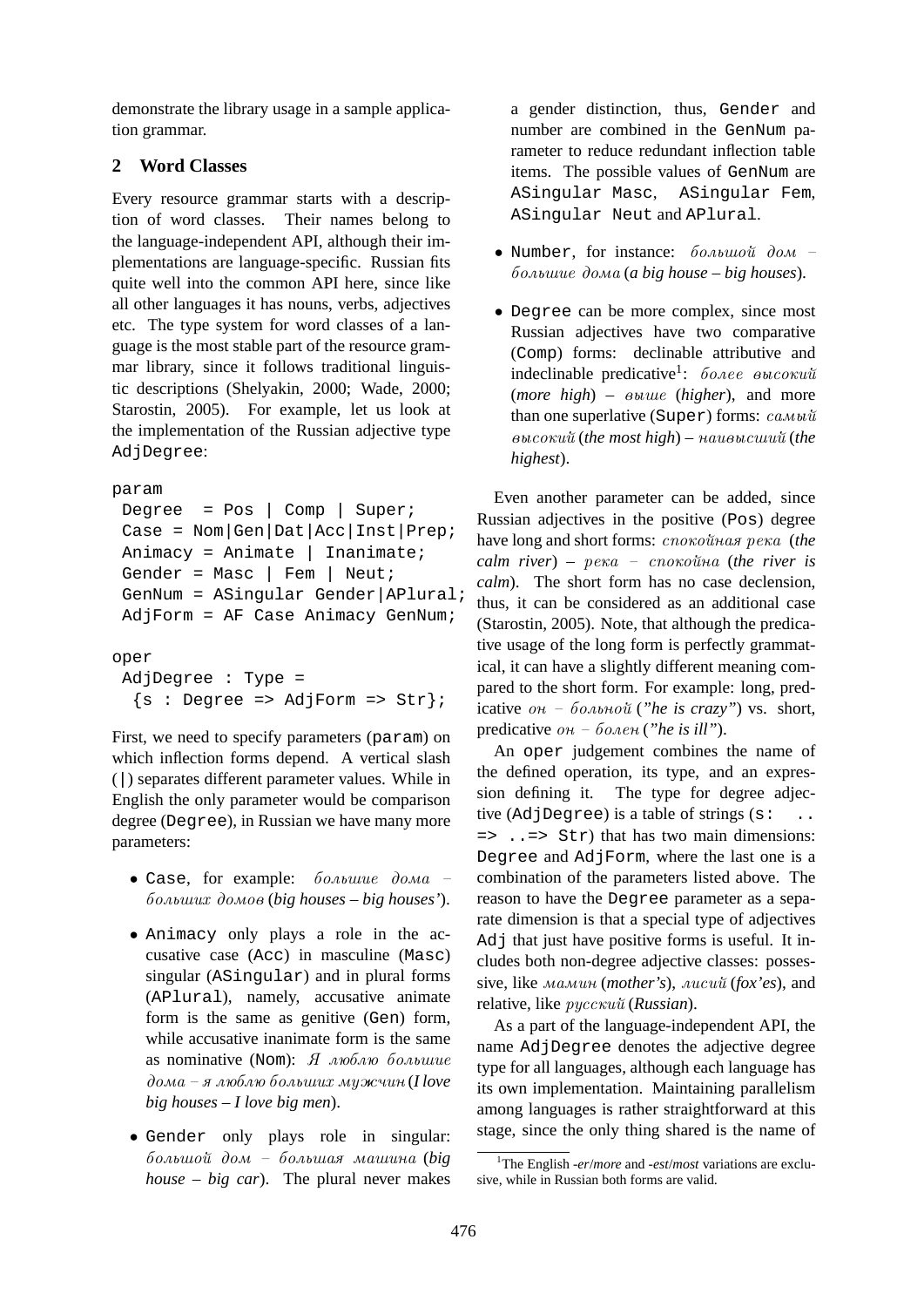demonstrate the library usage in a sample application grammar.

## **2 Word Classes**

Every resource grammar starts with a description of word classes. Their names belong to the language-independent API, although their implementations are language-specific. Russian fits quite well into the common API here, since like all other languages it has nouns, verbs, adjectives etc. The type system for word classes of a language is the most stable part of the resource grammar library, since it follows traditional linguistic descriptions (Shelyakin, 2000; Wade, 2000; Starostin, 2005). For example, let us look at the implementation of the Russian adjective type AdjDegree:

```
param
```

```
Degree = Pos | Comp | Super;
Case = Nom|Gen|Dat|Acc|Inst|Prep;
Animacy = Animate | Inanimate;
Gender = Masc | Fem | Neut;
GenNum = ASingular Gender|APlural;
AdjForm = AF Case Animacy GenNum;
```
oper

```
AdjDegree : Type =
 \{s : Degree \Rightarrow AdjForm \Rightarrow Str\};
```
First, we need to specify parameters (param) on which inflection forms depend. A vertical slash (|) separates different parameter values. While in English the only parameter would be comparison degree (Degree), in Russian we have many more parameters:

- Case, for example:  $\delta$ *o* $\delta$ *obuuue*  $\delta$ *o* $\delta$ *o* $\delta$  bolьxih domov (*big houses – big houses'*).
- Animacy only plays a role in the accusative case (Acc) in masculine (Masc) singular (ASingular) and in plural forms (APlural), namely, accusative animate form is the same as genitive (Gen) form, while accusative inanimate form is the same as nominative (Nom):  $\ddot{A}$   $\dot{\theta}$  $\partial$ *ома – я люблю больших мужчин* (*I love big houses – I love big men*).
- Gender only plays role in singular: bolьxo dom – bolьxa maxina (*big house – big car*). The plural never makes

a gender distinction, thus, Gender and number are combined in the GenNum parameter to reduce redundant inflection table items. The possible values of GenNum are ASingular Masc, ASingular Fem, ASingular Neut and APlural.

- Number, for instance:  $\delta$ *o* $\lambda$ <sub>b</sub>uo $\tilde{u}$  do $\tilde{u}$  bolьxie doma (*a big house – big houses*).
- Degree can be more complex, since most Russian adjectives have two comparative (Comp) forms: declinable attributive and indeclinable predicative<sup>1</sup>: более высокий  $(more high)$  –  $øvalue (higher)$ , and more than one superlative (Super) forms:  $ca_{Mbl}$  $\omega$ высокий (*the most high*) – наивысший (*the highest*).

Even another parameter can be added, since Russian adjectives in the positive (Pos) degree have long and short forms:  $cnoxo\$ *unas pexa* (*the*  $cal$  *river*) –  $pexa$  –  $cnoxo\$ *ina* (*the river is calm*). The short form has no case declension, thus, it can be considered as an additional case (Starostin, 2005). Note, that although the predicative usage of the long form is perfectly grammatical, it can have a slightly different meaning compared to the short form. For example: long, predicative  $\omega_0 - \delta \omega_0 \omega_0 \tilde{u}$  ("he is crazy") vs. short, predicative  $\omega_h$  –  $\delta \omega_h$  (*"he is ill"*).

An oper judgement combines the name of the defined operation, its type, and an expression defining it. The type for degree adjective  $(Adj$ Deqree) is a table of strings  $(s: ...$  $\Rightarrow$  ...  $\Rightarrow$  Str) that has two main dimensions: Degree and AdjForm, where the last one is a combination of the parameters listed above. The reason to have the Degree parameter as a separate dimension is that a special type of adjectives Adj that just have positive forms is useful. It includes both non-degree adjective classes: possessive, like мамин (mother's), лисий (*fox'es*), and relative, like *pyccκu* α (*Russian*).

As a part of the language-independent API, the name AdjDegree denotes the adjective degree type for all languages, although each language has its own implementation. Maintaining parallelism among languages is rather straightforward at this stage, since the only thing shared is the name of

<sup>1</sup>The English *-er*/*more* and *-est*/*most* variations are exclusive, while in Russian both forms are valid.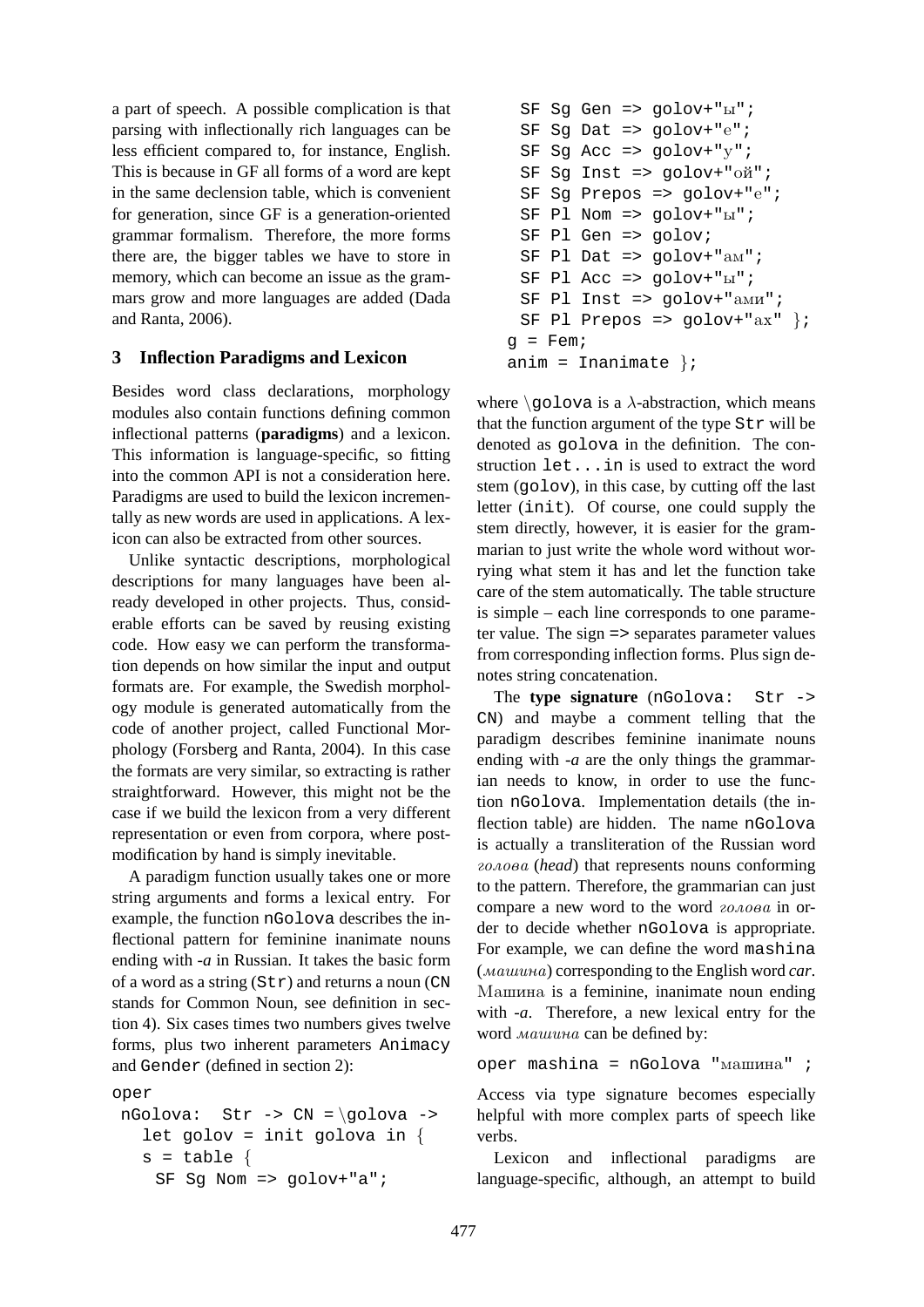a part of speech. A possible complication is that parsing with inflectionally rich languages can be less efficient compared to, for instance, English. This is because in GF all forms of a word are kept in the same declension table, which is convenient for generation, since GF is a generation-oriented grammar formalism. Therefore, the more forms there are, the bigger tables we have to store in memory, which can become an issue as the grammars grow and more languages are added (Dada and Ranta, 2006).

### **3 Inflection Paradigms and Lexicon**

Besides word class declarations, morphology modules also contain functions defining common inflectional patterns (**paradigms**) and a lexicon. This information is language-specific, so fitting into the common API is not a consideration here. Paradigms are used to build the lexicon incrementally as new words are used in applications. A lexicon can also be extracted from other sources.

Unlike syntactic descriptions, morphological descriptions for many languages have been already developed in other projects. Thus, considerable efforts can be saved by reusing existing code. How easy we can perform the transformation depends on how similar the input and output formats are. For example, the Swedish morphology module is generated automatically from the code of another project, called Functional Morphology (Forsberg and Ranta, 2004). In this case the formats are very similar, so extracting is rather straightforward. However, this might not be the case if we build the lexicon from a very different representation or even from corpora, where postmodification by hand is simply inevitable.

A paradigm function usually takes one or more string arguments and forms a lexical entry. For example, the function nGolova describes the inflectional pattern for feminine inanimate nouns ending with *-a* in Russian. It takes the basic form of a word as a string  $(Str)$  and returns a noun (CN) stands for Common Noun, see definition in section 4). Six cases times two numbers gives twelve forms, plus two inherent parameters Animacy and Gender (defined in section 2):

```
oper
```

```
nGolova: Str -> CN = \qquad 0let golov = init golova in \{s = table {
   SF Sg Nom => golov+"a";
```

```
SF Sq Gen => qolov+"b";
 SF Sq Dat => qolov+"e";
 SF Sq Acc => qolov+"v";
 SF Sg Inst => golov+"oñ";
 SF Sg Prepos => golov+"e";
 SF Pl Nom => golov+"u";
 SF Pl Gen => golov;
 SF Pl Dat => qolov+"am";
 SF Pl Acc => qolov+"u";SF Pl Inst => golov+ "a_Mu";
 SF Pl Prepos => golov+ "ax" };
g = \text{Fem}anim = Inanimate \};
```
where  $\qquad$ qolova is a  $\lambda$ -abstraction, which means that the function argument of the type Str will be denoted as golova in the definition. The construction let...in is used to extract the word stem (golov), in this case, by cutting off the last letter (init). Of course, one could supply the stem directly, however, it is easier for the grammarian to just write the whole word without worrying what stem it has and let the function take care of the stem automatically. The table structure is simple – each line corresponds to one parameter value. The sign => separates parameter values from corresponding inflection forms. Plus sign denotes string concatenation.

The **type signature** (nGolova: Str -> CN) and maybe a comment telling that the paradigm describes feminine inanimate nouns ending with *-a* are the only things the grammarian needs to know, in order to use the function nGolova. Implementation details (the inflection table) are hidden. The name nGolova is actually a transliteration of the Russian word golova (*head*) that represents nouns conforming to the pattern. Therefore, the grammarian can just compare a new word to the word  $z_{0A0B}$  in order to decide whether nGolova is appropriate. For example, we can define the word mashina (maxina) corresponding to the English word *car*. Машина is a feminine, inanimate noun ending with *-a*. Therefore, a new lexical entry for the word *Mauuuna* can be defined by:

 $oper$  mashina = nGolova " $M$ ашина" ;

Access via type signature becomes especially helpful with more complex parts of speech like verbs.

Lexicon and inflectional paradigms are language-specific, although, an attempt to build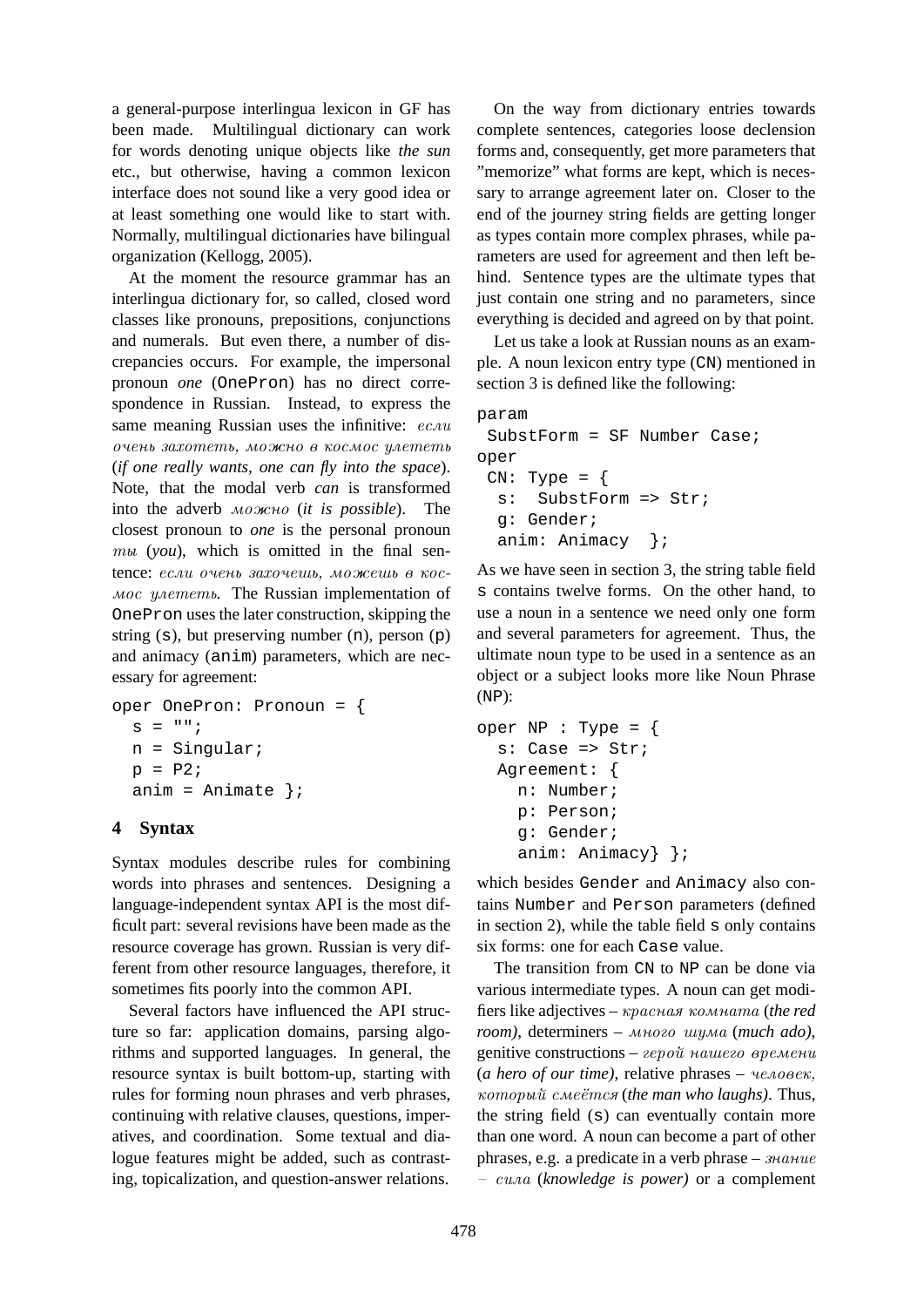a general-purpose interlingua lexicon in GF has been made. Multilingual dictionary can work for words denoting unique objects like *the sun* etc., but otherwise, having a common lexicon interface does not sound like a very good idea or at least something one would like to start with. Normally, multilingual dictionaries have bilingual organization (Kellogg, 2005).

At the moment the resource grammar has an interlingua dictionary for, so called, closed word classes like pronouns, prepositions, conjunctions and numerals. But even there, a number of discrepancies occurs. For example, the impersonal pronoun *one* (OnePron) has no direct correspondence in Russian. Instead, to express the same meaning Russian uses the infinitive:  $ecau$ очень захотеть, можно в космос улететь (*if one really wants, one can fly into the space*). Note, that the modal verb *can* is transformed into the adverb moжno (*it is possible*). The closest pronoun to *one* is the personal pronoun  $mu (you)$ , which is omitted in the final sentence: если очень захочешь, можешь в кос*мос улететь*. The Russian implementation of OnePron uses the later construction, skipping the string (s), but preserving number (n), person (p) and animacy (anim) parameters, which are necessary for agreement:

```
oper OnePron: Pronoun = {
  s = " " ;n = Singular;
  p = P2;anim = \text{Animate }};
```
## **4 Syntax**

Syntax modules describe rules for combining words into phrases and sentences. Designing a language-independent syntax API is the most difficult part: several revisions have been made as the resource coverage has grown. Russian is very different from other resource languages, therefore, it sometimes fits poorly into the common API.

Several factors have influenced the API structure so far: application domains, parsing algorithms and supported languages. In general, the resource syntax is built bottom-up, starting with rules for forming noun phrases and verb phrases, continuing with relative clauses, questions, imperatives, and coordination. Some textual and dialogue features might be added, such as contrasting, topicalization, and question-answer relations.

On the way from dictionary entries towards complete sentences, categories loose declension forms and, consequently, get more parameters that "memorize" what forms are kept, which is necessary to arrange agreement later on. Closer to the end of the journey string fields are getting longer as types contain more complex phrases, while parameters are used for agreement and then left behind. Sentence types are the ultimate types that just contain one string and no parameters, since everything is decided and agreed on by that point.

Let us take a look at Russian nouns as an example. A noun lexicon entry type (CN) mentioned in section 3 is defined like the following:

```
param
 SubstForm = SF Number Case;oper
 CN: Type = \{s: SubstForm => Str;
  g: Gender;
  anim: Animacy };
```
As we have seen in section 3, the string table field s contains twelve forms. On the other hand, to use a noun in a sentence we need only one form and several parameters for agreement. Thus, the ultimate noun type to be used in a sentence as an object or a subject looks more like Noun Phrase (NP):

```
oper NP : Type = \{s: Case => Str;
 Agreement: {
    n: Number;
    p: Person;
    g: Gender;
    anim: Animacy} };
```
which besides Gender and Animacy also contains Number and Person parameters (defined in section 2), while the table field s only contains six forms: one for each Case value.

The transition from CN to NP can be done via various intermediate types. A noun can get modifiers like adjectives – красная комната (*the red room*), determiners – много шума (*much ado*), genitive constructions –  $eepo\tilde{u}$  namezo времени  $(a \text{ hero of our time})$ , relative phrases  $-$  *yenoses*, kotory smets (*the man who laughs)*. Thus, the string field (s) can eventually contain more than one word. A noun can become a part of other phrases, e.g. a predicate in a verb phrase –  $\alpha$ – sila (*knowledge is power)* or a complement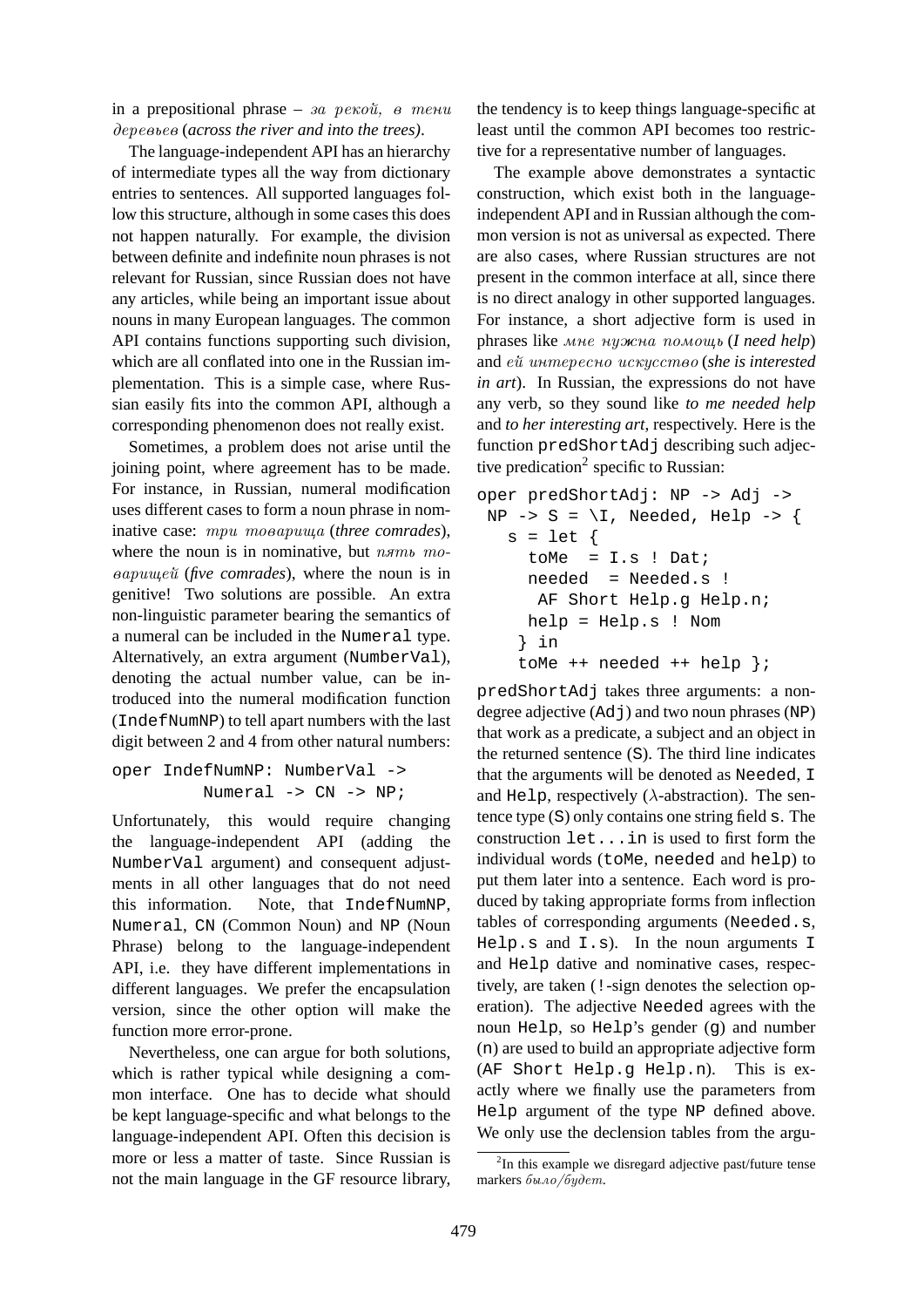in a prepositional phrase – *sa persou*,  $\theta$  menu derevьev (*across the river and into the trees)*.

The language-independent API has an hierarchy of intermediate types all the way from dictionary entries to sentences. All supported languages follow this structure, although in some cases this does not happen naturally. For example, the division between definite and indefinite noun phrases is not relevant for Russian, since Russian does not have any articles, while being an important issue about nouns in many European languages. The common API contains functions supporting such division, which are all conflated into one in the Russian implementation. This is a simple case, where Russian easily fits into the common API, although a corresponding phenomenon does not really exist.

Sometimes, a problem does not arise until the joining point, where agreement has to be made. For instance, in Russian, numeral modification uses different cases to form a noun phrase in nominative case:  $mpu$  mooapuuya (three comrades), where the noun is in nominative, but  $n \pi m b$  mo*eapuweu* (*five comrades*), where the noun is in genitive! Two solutions are possible. An extra non-linguistic parameter bearing the semantics of a numeral can be included in the Numeral type. Alternatively, an extra argument (NumberVal), denoting the actual number value, can be introduced into the numeral modification function (IndefNumNP) to tell apart numbers with the last digit between 2 and 4 from other natural numbers:

oper IndefNumNP: NumberVal -> Numeral -> CN -> NP;

Unfortunately, this would require changing the language-independent API (adding the NumberVal argument) and consequent adjustments in all other languages that do not need this information. Note, that IndefNumNP, Numeral, CN (Common Noun) and NP (Noun Phrase) belong to the language-independent API, i.e. they have different implementations in different languages. We prefer the encapsulation version, since the other option will make the function more error-prone.

Nevertheless, one can argue for both solutions, which is rather typical while designing a common interface. One has to decide what should be kept language-specific and what belongs to the language-independent API. Often this decision is more or less a matter of taste. Since Russian is not the main language in the GF resource library, the tendency is to keep things language-specific at least until the common API becomes too restrictive for a representative number of languages.

The example above demonstrates a syntactic construction, which exist both in the languageindependent API and in Russian although the common version is not as universal as expected. There are also cases, where Russian structures are not present in the common interface at all, since there is no direct analogy in other supported languages. For instance, a short adjective form is used in phrases like mne nuжna pomowь (*I need help*) and  $e\tilde{u}$  *unmepecno uckyccmeo* (*she is interested in art*). In Russian, the expressions do not have any verb, so they sound like *to me needed help* and *to her interesting art*, respectively. Here is the function predShortAdj describing such adjective predication<sup>2</sup> specific to Russian:

```
oper predShortAdj: NP -> Adj ->
NP \rightarrow S = \I, Needed, Help \rightarrow \{s = let {
     toMe = I.s ! Dat;
     needed = Needed.s !
      AF Short Help.g Help.n;
     help = Help.s ! Nom
    } in
    toMe ++ needed ++ help };
```
predShortAdj takes three arguments: a nondegree adjective (Adj) and two noun phrases (NP) that work as a predicate, a subject and an object in the returned sentence (S). The third line indicates that the arguments will be denoted as Needed, I and Help, respectively ( $\lambda$ -abstraction). The sentence type (S) only contains one string field s. The construction let...in is used to first form the individual words (toMe, needed and help) to put them later into a sentence. Each word is produced by taking appropriate forms from inflection tables of corresponding arguments (Needed.s,  $He1p.s$  and  $I.s$ ). In the noun arguments I and Help dative and nominative cases, respectively, are taken (!-sign denotes the selection operation). The adjective Needed agrees with the noun Help, so Help's gender (g) and number (n) are used to build an appropriate adjective form (AF Short Help.g Help.n). This is exactly where we finally use the parameters from Help argument of the type NP defined above. We only use the declension tables from the argu-

<sup>&</sup>lt;sup>2</sup>In this example we disregard adjective past/future tense markers  $\delta u$ no/ $\delta y$ dem.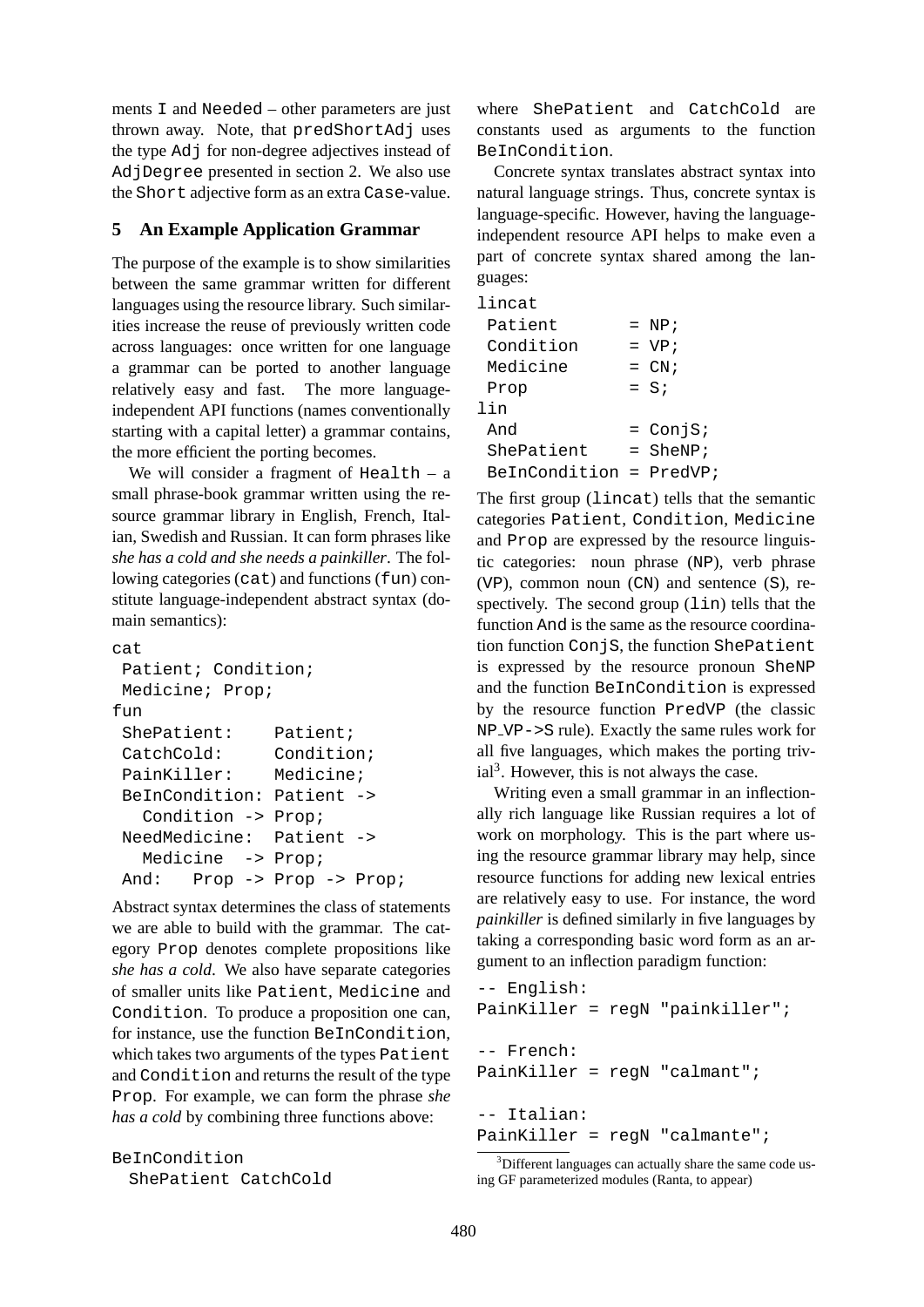ments I and Needed – other parameters are just thrown away. Note, that predShortAdjuses the type Adj for non-degree adjectives instead of AdjDegree presented in section 2. We also use the Short adjective form as an extra Case-value.

## **5 An Example Application Grammar**

The purpose of the example is to show similarities between the same grammar written for different languages using the resource library. Such similarities increase the reuse of previously written code across languages: once written for one language a grammar can be ported to another language relatively easy and fast. The more languageindependent API functions (names conventionally starting with a capital letter) a grammar contains, the more efficient the porting becomes.

We will consider a fragment of  $Health - a$ small phrase-book grammar written using the resource grammar library in English, French, Italian, Swedish and Russian. It can form phrases like *she has a cold and she needs a painkiller*. The following categories (cat) and functions (fun) constitute language-independent abstract syntax (domain semantics):

```
cat
Patient; Condition;
Medicine; Prop;
f_{11}ShePatient: Patient;
CatchCold: Condition;
PainKiller: Medicine;
BeInCondition: Patient ->
  Condition -> Prop;
NeedMedicine: Patient ->
  Medicine -> Prop;
And: Prop -> Prop -> Prop;
```
Abstract syntax determines the class of statements we are able to build with the grammar. The category Prop denotes complete propositions like *she has a cold*. We also have separate categories of smaller units like Patient, Medicine and Condition. To produce a proposition one can, for instance, use the function BeInCondition, which takes two arguments of the types Patient and Condition and returns the result of the type Prop. For example, we can form the phrase *she has a cold* by combining three functions above:

```
BeInCondition
 ShePatient CatchCold
```
where ShePatient and CatchCold are constants used as arguments to the function BeInCondition.

Concrete syntax translates abstract syntax into natural language strings. Thus, concrete syntax is language-specific. However, having the languageindependent resource API helps to make even a part of concrete syntax shared among the languages:

| lincat        |                  |
|---------------|------------------|
| Patient       | $= NP;$          |
| Condition     | $= VP;$          |
| Medicine      | $= \, \text{CN}$ |
| Prop          | $=$ S;           |
| lin           |                  |
| And           | $=$ ConjS;       |
| ShePatient    | $=$ SheNP;       |
| BeInCondition | $=$ PredVP;      |

The first group (lincat) tells that the semantic categories Patient, Condition, Medicine and Prop are expressed by the resource linguistic categories: noun phrase (NP), verb phrase (VP), common noun (CN) and sentence (S), respectively. The second group  $(lin)$  tells that the function And is the same as the resource coordination function ConjS, the function ShePatient is expressed by the resource pronoun SheNP and the function BeInCondition is expressed by the resource function PredVP (the classic NP VP->S rule). Exactly the same rules work for all five languages, which makes the porting triv $ial<sup>3</sup>$ . However, this is not always the case.

Writing even a small grammar in an inflectionally rich language like Russian requires a lot of work on morphology. This is the part where using the resource grammar library may help, since resource functions for adding new lexical entries are relatively easy to use. For instance, the word *painkiller* is defined similarly in five languages by taking a corresponding basic word form as an argument to an inflection paradigm function:

```
-- English:
PainKiller = regN "painkiller";
-- French:
PainKiller = regN "calmant";
-- Italian:
PainKiller = regN "calmante";
```
<sup>&</sup>lt;sup>3</sup>Different languages can actually share the same code using GF parameterized modules (Ranta, to appear)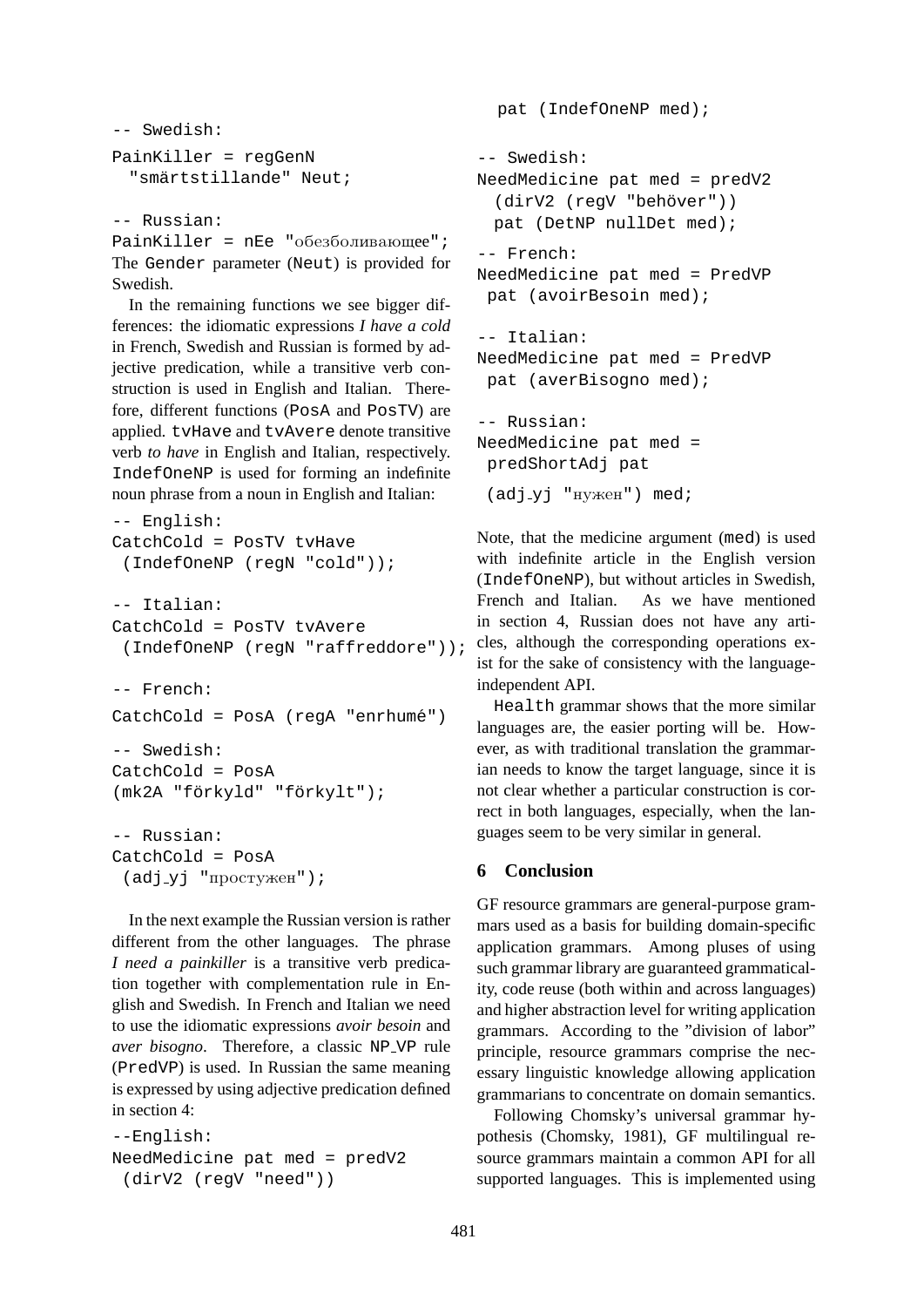```
-- Swedish:
PainKiller = regGenN
  "smärtstillande" Neut;
```

```
-- Russian:
```
PainKiller =  $nEe$  " $o6e360\nIUBa}$  vought"; The Gender parameter (Neut) is provided for Swedish.

In the remaining functions we see bigger differences: the idiomatic expressions *I have a cold* in French, Swedish and Russian is formed by adjective predication, while a transitive verb construction is used in English and Italian. Therefore, different functions (PosA and PosTV) are applied. tvHave and tvAvere denote transitive verb *to have* in English and Italian, respectively. IndefOneNP is used for forming an indefinite noun phrase from a noun in English and Italian:

```
-- English:
CatchCold = PosTV tvHave
 (IndefOneNP (regN "cold"));
-- Italian:
CatchCold = PosTV tvAvere
 (IndefOneNP (regN "raffreddore"));
-- French:
CatchCold = PosA (regA "enrhumé")
-- Swedish:
CatchCold = PosA
(mk2A "förkyld" "förkylt");
-- Russian:
CatchCold = PosA
 (\text{adj-yj} "\text{mpcry}жен");
```
In the next example the Russian version is rather different from the other languages. The phrase *I need a painkiller* is a transitive verb predication together with complementation rule in English and Swedish. In French and Italian we need to use the idiomatic expressions *avoir besoin* and *aver bisogno*. Therefore, a classic NP VP rule (PredVP) is used. In Russian the same meaning is expressed by using adjective predication defined in section 4:

```
--English:
NeedMedicine pat med = predV2
 (dirV2 (regV "need"))
```

```
pat (IndefOneNP med);
-- Swedish:
NeedMedicine pat med = predV2
  (dirV2 (regV "behöver"))
 pat (DetNP nullDet med);
-- French:
NeedMedicine pat med = PredVP
 pat (avoirBesoin med);
-- Italian:
NeedMedicine pat med = PredVP
 pat (averBisogno med);
-- Russian:
NeedMedicine pat med =
 predShortAdj pat
 (\text{adj}_y j "нужен") med;
```
Note, that the medicine argument (med) is used with indefinite article in the English version (IndefOneNP), but without articles in Swedish, French and Italian. As we have mentioned in section 4, Russian does not have any articles, although the corresponding operations exist for the sake of consistency with the languageindependent API.

Health grammar shows that the more similar languages are, the easier porting will be. However, as with traditional translation the grammarian needs to know the target language, since it is not clear whether a particular construction is correct in both languages, especially, when the languages seem to be very similar in general.

### **6 Conclusion**

GF resource grammars are general-purpose grammars used as a basis for building domain-specific application grammars. Among pluses of using such grammar library are guaranteed grammaticality, code reuse (both within and across languages) and higher abstraction level for writing application grammars. According to the "division of labor" principle, resource grammars comprise the necessary linguistic knowledge allowing application grammarians to concentrate on domain semantics.

Following Chomsky's universal grammar hypothesis (Chomsky, 1981), GF multilingual resource grammars maintain a common API for all supported languages. This is implemented using